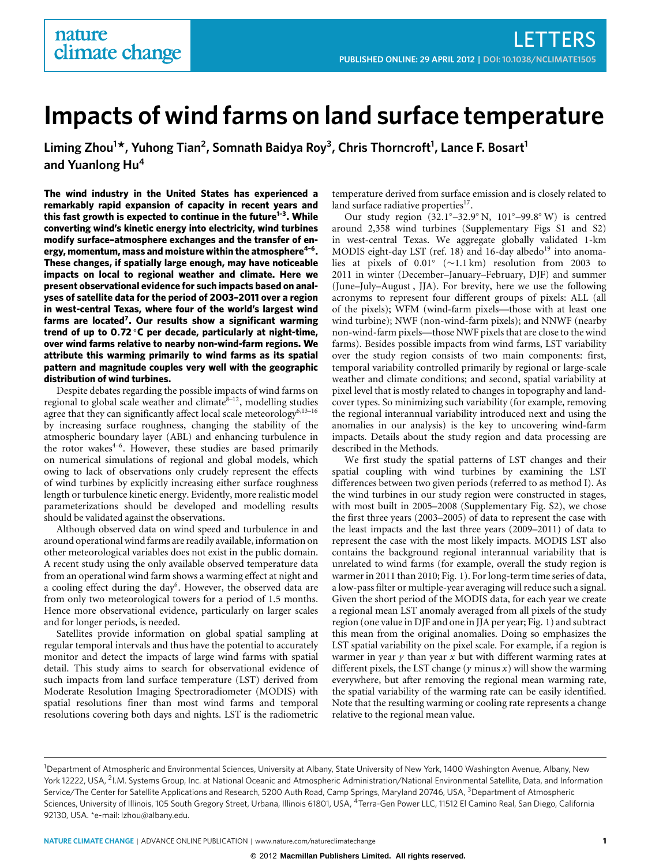# **Impacts of wind farms on land surface temperature**

**Liming Zhou<sup>1</sup> \*, Yuhong Tian<sup>2</sup> , Somnath Baidya Roy<sup>3</sup> , Chris Thorncroft<sup>1</sup> , Lance F. Bosart<sup>1</sup> and Yuanlong Hu<sup>4</sup>**

**The wind industry in the United States has experienced a remarkably rapid expansion of capacity in recent years and this fast growth is expected to continue in the future[1–](#page-3-0)[3](#page-3-1). While converting wind's kinetic energy into electricity, wind turbines modify surface–atmosphere exchanges and the transfer of energy, momentum, mass and moisture within the atmosphere[4](#page-3-2)[–6](#page-3-3) . These changes, if spatially large enough, may have noticeable impacts on local to regional weather and climate. Here we present observational evidence for such impacts based on analyses of satellite data for the period of 2003–2011 over a region in west-central Texas, where four of the world's largest wind farms are located[7](#page-3-4) . Our results show a significant warming trend of up to 0**.**72** ◦**C per decade, particularly at night-time, over wind farms relative to nearby non-wind-farm regions. We attribute this warming primarily to wind farms as its spatial pattern and magnitude couples very well with the geographic distribution of wind turbines.**

Despite debates regarding the possible impacts of wind farms on regional to global scale weather and climate<sup>[8](#page-3-5)-12</sup>, modelling studies agree that they can significantly affect local scale meteorology $6,13-16$  $6,13-16$  $6,13-16$ by increasing surface roughness, changing the stability of the atmospheric boundary layer (ABL) and enhancing turbulence in the rotor wakes $4-6$  $4-6$ . However, these studies are based primarily on numerical simulations of regional and global models, which owing to lack of observations only crudely represent the effects of wind turbines by explicitly increasing either surface roughness length or turbulence kinetic energy. Evidently, more realistic model parameterizations should be developed and modelling results should be validated against the observations.

Although observed data on wind speed and turbulence in and around operational wind farms are readily available, information on other meteorological variables does not exist in the public domain. A recent study using the only available observed temperature data from an operational wind farm shows a warming effect at night and a cooling effect during the day<sup>[6](#page-3-3)</sup>. However, the observed data are from only two meteorological towers for a period of 1.5 months. Hence more observational evidence, particularly on larger scales and for longer periods, is needed.

Satellites provide information on global spatial sampling at regular temporal intervals and thus have the potential to accurately monitor and detect the impacts of large wind farms with spatial detail. This study aims to search for observational evidence of such impacts from land surface temperature (LST) derived from Moderate Resolution Imaging Spectroradiometer (MODIS) with spatial resolutions finer than most wind farms and temporal resolutions covering both days and nights. LST is the radiometric temperature derived from surface emission and is closely related to land surface radiative properties<sup>[17](#page-4-3)</sup>.

Our study region (32.1 ◦–32.9 ◦ N, 101◦–99.8 ◦ W) is centred around 2,358 wind turbines (Supplementary Figs S1 and S2) in west-central Texas. We aggregate globally validated 1-km MODIS eight-day LST (ref. [18\)](#page-4-4) and 16-day albedo<sup>[19](#page-4-5)</sup> into anomalies at pixels of 0.01◦ (∼1.1 km) resolution from 2003 to 2011 in winter (December–January–February, DJF) and summer (June–July–August , JJA). For brevity, here we use the following acronyms to represent four different groups of pixels: ALL (all of the pixels); WFM (wind-farm pixels—those with at least one wind turbine); NWF (non-wind-farm pixels); and NNWF (nearby non-wind-farm pixels—those NWF pixels that are close to the wind farms). Besides possible impacts from wind farms, LST variability over the study region consists of two main components: first, temporal variability controlled primarily by regional or large-scale weather and climate conditions; and second, spatial variability at pixel level that is mostly related to changes in topography and landcover types. So minimizing such variability (for example, removing the regional interannual variability introduced next and using the anomalies in our analysis) is the key to uncovering wind-farm impacts. Details about the study region and data processing are described in the Methods.

We first study the spatial patterns of LST changes and their spatial coupling with wind turbines by examining the LST differences between two given periods (referred to as method I). As the wind turbines in our study region were constructed in stages, with most built in 2005–2008 (Supplementary Fig. S2), we chose the first three years (2003–2005) of data to represent the case with the least impacts and the last three years (2009–2011) of data to represent the case with the most likely impacts. MODIS LST also contains the background regional interannual variability that is unrelated to wind farms (for example, overall the study region is warmer in 2011 than 2010; [Fig. 1\)](#page-1-0). For long-term time series of data, a low-pass filter or multiple-year averaging will reduce such a signal. Given the short period of the MODIS data, for each year we create a regional mean LST anomaly averaged from all pixels of the study region (one value in DJF and one in JJA per year; [Fig. 1\)](#page-1-0) and subtract this mean from the original anomalies. Doing so emphasizes the LST spatial variability on the pixel scale. For example, if a region is warmer in year *y* than year *x* but with different warming rates at different pixels, the LST change (*y* minus *x*) will show the warming everywhere, but after removing the regional mean warming rate, the spatial variability of the warming rate can be easily identified. Note that the resulting warming or cooling rate represents a change relative to the regional mean value.

<sup>&</sup>lt;sup>1</sup>Department of Atmospheric and Environmental Sciences, University at Albany, State University of New York, 1400 Washington Avenue, Albany, New York 12222, USA, <sup>2</sup>I.M. Systems Group, Inc. at National Oceanic and Atmospheric Administration/National Environmental Satellite, Data, and Information Service/The Center for Satellite Applications and Research, 5200 Auth Road, Camp Springs, Maryland 20746, USA, <sup>3</sup>Department of Atmospheric Sciences, University of Illinois, 105 South Gregory Street, Urbana, Illinois 61801, USA, <sup>4</sup>Terra-Gen Power LLC, 11512 El Camino Real, San Diego, California 92130, USA. \*e-mail: [lzhou@albany.edu.](mailto:lzhou@albany.edu)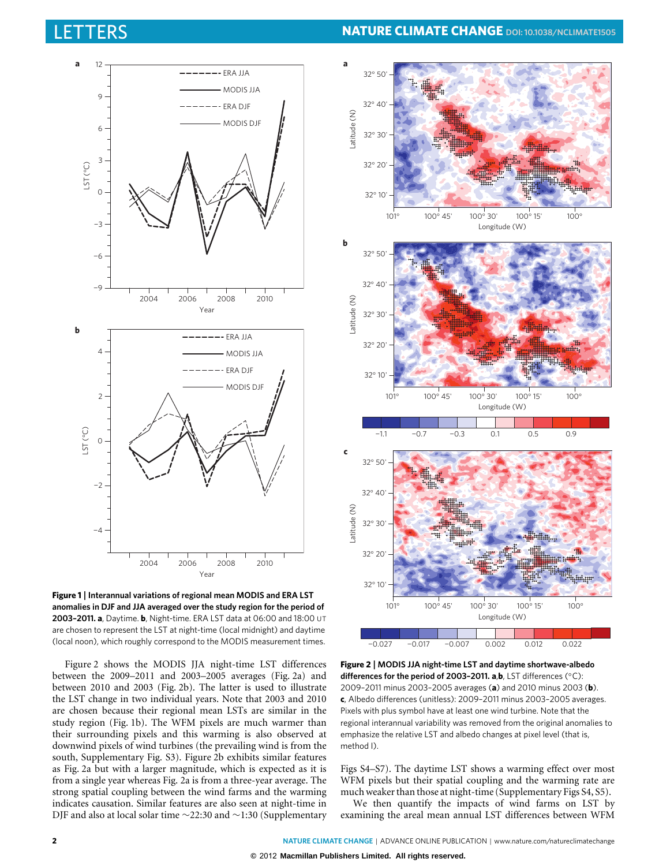# -- ERA JJA MODIS JJA ERA DJF MODIS DJF  $-c$  $-\epsilon$ ¬3  $\Omega$ 3 6  $\epsilon$  $12$ LST (°C) 2004 2006 2008 2010 Year ---- ERA JJA MODIS JJA ERA DJF MODIS DJF 2004 2006 2008 2010 Year 4 2  $\overline{0}$  $-7$  $-4$ LST (°C) **a b**

<span id="page-1-0"></span>**Figure 1** | **Interannual variations of regional mean MODIS and ERA LST anomalies in DJF and JJA averaged over the study region for the period of 2003–2011. a**, Daytime. **b**, Night-time. ERA LST data at 06:00 and 18:00 UT are chosen to represent the LST at night-time (local midnight) and daytime (local noon), which roughly correspond to the MODIS measurement times.

[Figure 2](#page-1-1) shows the MODIS JJA night-time LST differences between the 2009–2011 and 2003–2005 averages [\(Fig. 2a](#page-1-1)) and between 2010 and 2003 [\(Fig. 2b](#page-1-1)). The latter is used to illustrate the LST change in two individual years. Note that 2003 and 2010 are chosen because their regional mean LSTs are similar in the study region [\(Fig. 1b](#page-1-0)). The WFM pixels are much warmer than their surrounding pixels and this warming is also observed at downwind pixels of wind turbines (the prevailing wind is from the south, Supplementary Fig. S3). [Figure 2b](#page-1-1) exhibits similar features as [Fig. 2a](#page-1-1) but with a larger magnitude, which is expected as it is from a single year whereas [Fig. 2a](#page-1-1) is from a three-year average. The strong spatial coupling between the wind farms and the warming indicates causation. Similar features are also seen at night-time in DJF and also at local solar time ∼22:30 and ∼1:30 (Supplementary

## LETTERS **NATURE CLIMATE CHANGE DOI: [10.1038/NCLIMATE1505](http://www.nature.com/doifinder/10.1038/nclimate1505)**



<span id="page-1-1"></span>**Figure 2** | **MODIS JJA night-time LST and daytime shortwave-albedo differences for the period of 2003–2011. a**,**b**, LST differences (◦C): 2009–2011 minus 2003–2005 averages (**a**) and 2010 minus 2003 (**b**). **c**, Albedo differences (unitless): 2009–2011 minus 2003–2005 averages. Pixels with plus symbol have at least one wind turbine. Note that the regional interannual variability was removed from the original anomalies to emphasize the relative LST and albedo changes at pixel level (that is, method I).

Figs S4–S7). The daytime LST shows a warming effect over most WFM pixels but their spatial coupling and the warming rate are much weaker than those at night-time (Supplementary Figs S4, S5).

We then quantify the impacts of wind farms on LST by examining the areal mean annual LST differences between WFM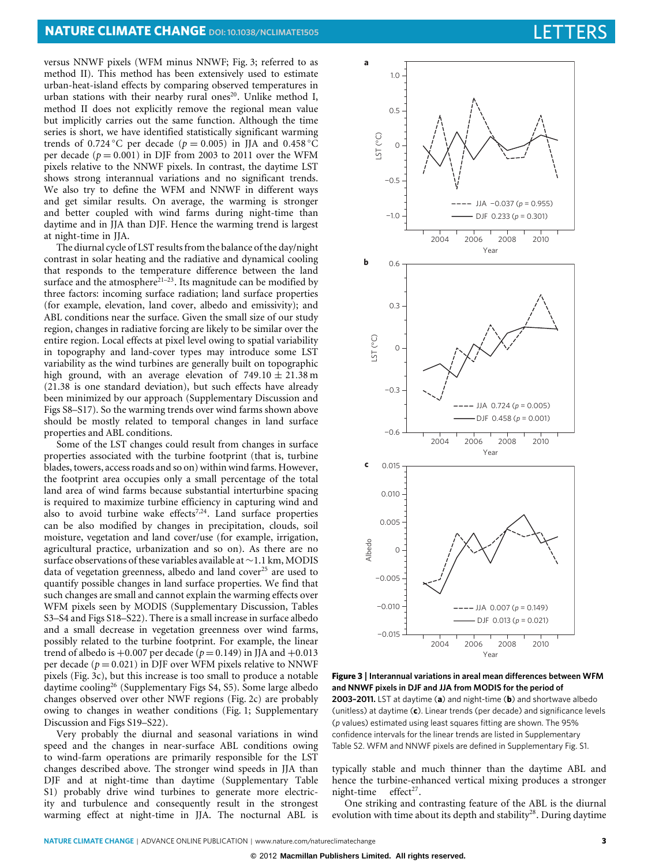versus NNWF pixels (WFM minus NNWF; [Fig. 3;](#page-2-0) referred to as method II). This method has been extensively used to estimate urban-heat-island effects by comparing observed temperatures in urban stations with their nearby rural ones<sup>[20](#page-4-6)</sup>. Unlike method I, method II does not explicitly remove the regional mean value but implicitly carries out the same function. Although the time series is short, we have identified statistically significant warming trends of 0.724 °C per decade ( $p = 0.005$ ) in JJA and 0.458 °C per decade  $(p = 0.001)$  in DJF from 2003 to 2011 over the WFM pixels relative to the NNWF pixels. In contrast, the daytime LST shows strong interannual variations and no significant trends. We also try to define the WFM and NNWF in different ways and get similar results. On average, the warming is stronger and better coupled with wind farms during night-time than daytime and in JJA than DJF. Hence the warming trend is largest at night-time in JJA.

The diurnal cycle of LST results from the balance of the day/night contrast in solar heating and the radiative and dynamical cooling that responds to the temperature difference between the land surface and the atmosphere<sup>[21](#page-4-7)-23</sup>. Its magnitude can be modified by three factors: incoming surface radiation; land surface properties (for example, elevation, land cover, albedo and emissivity); and ABL conditions near the surface. Given the small size of our study region, changes in radiative forcing are likely to be similar over the entire region. Local effects at pixel level owing to spatial variability in topography and land-cover types may introduce some LST variability as the wind turbines are generally built on topographic high ground, with an average elevation of  $749.10 \pm 21.38 \text{ m}$ (21.38 is one standard deviation), but such effects have already been minimized by our approach (Supplementary Discussion and Figs S8–S17). So the warming trends over wind farms shown above should be mostly related to temporal changes in land surface properties and ABL conditions.

Some of the LST changes could result from changes in surface properties associated with the turbine footprint (that is, turbine blades, towers, access roads and so on) within wind farms. However, the footprint area occupies only a small percentage of the total land area of wind farms because substantial interturbine spacing is required to maximize turbine efficiency in capturing wind and also to avoid turbine wake effects<sup>[7,](#page-3-4)[24](#page-4-9)</sup>. Land surface properties can be also modified by changes in precipitation, clouds, soil moisture, vegetation and land cover/use (for example, irrigation, agricultural practice, urbanization and so on). As there are no surface observations of these variables available at ∼1.1 km, MODIS data of vegetation greenness, albedo and land cover<sup>[25](#page-4-10)</sup> are used to quantify possible changes in land surface properties. We find that such changes are small and cannot explain the warming effects over WFM pixels seen by MODIS (Supplementary Discussion, Tables S3–S4 and Figs S18–S22). There is a small increase in surface albedo and a small decrease in vegetation greenness over wind farms, possibly related to the turbine footprint. For example, the linear trend of albedo is  $+0.007$  per decade ( $p = 0.149$ ) in JJA and  $+0.013$ per decade ( $p = 0.021$ ) in DJF over WFM pixels relative to NNWF pixels [\(Fig. 3c](#page-2-0)), but this increase is too small to produce a notable daytime cooling<sup>[26](#page-4-11)</sup> (Supplementary Figs S4, S5). Some large albedo changes observed over other NWF regions [\(Fig. 2c](#page-1-1)) are probably owing to changes in weather conditions [\(Fig. 1;](#page-1-0) Supplementary Discussion and Figs S19–S22).

Very probably the diurnal and seasonal variations in wind speed and the changes in near-surface ABL conditions owing to wind-farm operations are primarily responsible for the LST changes described above. The stronger wind speeds in JJA than DJF and at night-time than daytime (Supplementary Table S1) probably drive wind turbines to generate more electricity and turbulence and consequently result in the strongest warming effect at night-time in JJA. The nocturnal ABL is



<span id="page-2-0"></span>**Figure 3** | **Interannual variations in areal mean differences between WFM and NNWF pixels in DJF and JJA from MODIS for the period of**

**2003–2011.** LST at daytime (**a**) and night-time (**b**) and shortwave albedo (unitless) at daytime (**c**). Linear trends (per decade) and significance levels (*p* values) estimated using least squares fitting are shown. The 95% confidence intervals for the linear trends are listed in Supplementary Table S2. WFM and NNWF pixels are defined in Supplementary Fig. S1.

typically stable and much thinner than the daytime ABL and hence the turbine-enhanced vertical mixing produces a stronger night-time  $effect<sup>27</sup>$ .

One striking and contrasting feature of the ABL is the diurnal evolution with time about its depth and stability<sup>[28](#page-4-13)</sup>. During daytime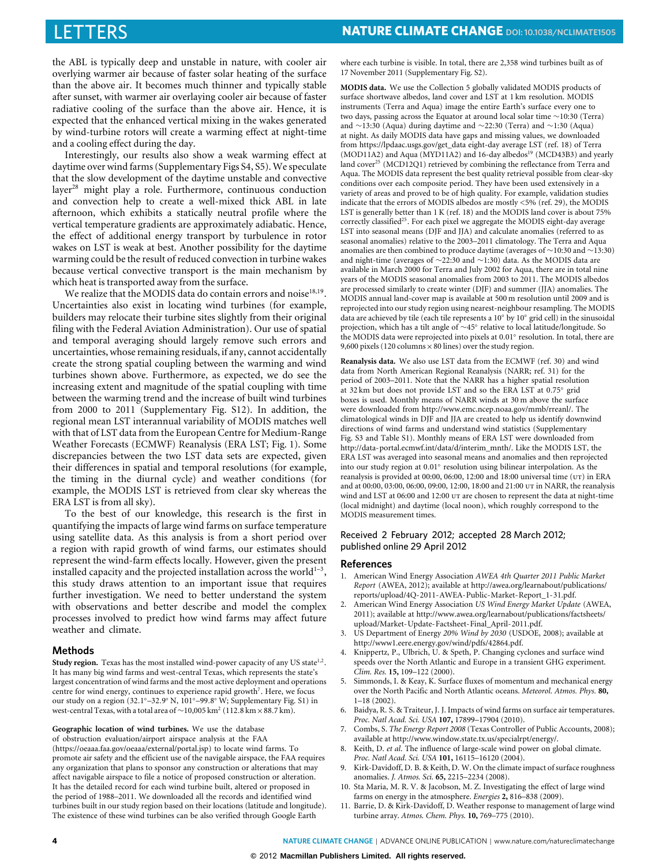the ABL is typically deep and unstable in nature, with cooler air overlying warmer air because of faster solar heating of the surface than the above air. It becomes much thinner and typically stable after sunset, with warmer air overlaying cooler air because of faster radiative cooling of the surface than the above air. Hence, it is expected that the enhanced vertical mixing in the wakes generated by wind-turbine rotors will create a warming effect at night-time and a cooling effect during the day.

Interestingly, our results also show a weak warming effect at daytime over wind farms (Supplementary Figs S4, S5). We speculate that the slow development of the daytime unstable and convective layer<sup>[28](#page-4-13)</sup> might play a role. Furthermore, continuous conduction and convection help to create a well-mixed thick ABL in late afternoon, which exhibits a statically neutral profile where the vertical temperature gradients are approximately adiabatic. Hence, the effect of additional energy transport by turbulence in rotor wakes on LST is weak at best. Another possibility for the daytime warming could be the result of reduced convection in turbine wakes because vertical convective transport is the main mechanism by which heat is transported away from the surface.

We realize that the MODIS data do contain errors and noise $^{18,19}$  $^{18,19}$  $^{18,19}$  $^{18,19}$ . Uncertainties also exist in locating wind turbines (for example, builders may relocate their turbine sites slightly from their original filing with the Federal Aviation Administration). Our use of spatial and temporal averaging should largely remove such errors and uncertainties, whose remaining residuals, if any, cannot accidentally create the strong spatial coupling between the warming and wind turbines shown above. Furthermore, as expected, we do see the increasing extent and magnitude of the spatial coupling with time between the warming trend and the increase of built wind turbines from 2000 to 2011 (Supplementary Fig. S12). In addition, the regional mean LST interannual variability of MODIS matches well with that of LST data from the European Centre for Medium-Range Weather Forecasts (ECMWF) Reanalysis (ERA LST; [Fig. 1\)](#page-1-0). Some discrepancies between the two LST data sets are expected, given their differences in spatial and temporal resolutions (for example, the timing in the diurnal cycle) and weather conditions (for example, the MODIS LST is retrieved from clear sky whereas the ERA LST is from all sky).

To the best of our knowledge, this research is the first in quantifying the impacts of large wind farms on surface temperature using satellite data. As this analysis is from a short period over a region with rapid growth of wind farms, our estimates should represent the wind-farm effects locally. However, given the present installed capacity and the projected installation across the world $1-3$  $1-3$ , this study draws attention to an important issue that requires further investigation. We need to better understand the system with observations and better describe and model the complex processes involved to predict how wind farms may affect future weather and climate.

#### **Methods**

**Study region.** Texas has the most installed wind-power capacity of any US state<sup>[1](#page-3-0)[,2](#page-3-6)</sup>. It has many big wind farms and west-central Texas, which represents the state's largest concentration of wind farms and the most active deployment and operations centre for wind energy, continues to experience rapid growth<sup>[7](#page-3-4)</sup>. Here, we focus our study on a region (32.1 ◦–32.9 ◦ N, 101◦–99.8 ◦ W; Supplementary Fig. S1) in west-central Texas, with a total area of ∼10,005 km<sup>2</sup> (112.8 km×88.7 km).

**Geographic location of wind turbines.** We use the database of obstruction evaluation/airport airspace analysis at the FAA [\(https://oeaaa.faa.gov/oeaaa/external/portal.jsp\)](https://oeaaa.faa.gov/oeaaa/external/portal.jsp) to locate wind farms. To promote air safety and the efficient use of the navigable airspace, the FAA requires any organization that plans to sponsor any construction or alterations that may affect navigable airspace to file a notice of proposed construction or alteration. It has the detailed record for each wind turbine built, altered or proposed in the period of 1988–2011. We downloaded all the records and identified wind turbines built in our study region based on their locations (latitude and longitude). The existence of these wind turbines can be also verified through Google Earth

where each turbine is visible. In total, there are 2,358 wind turbines built as of 17 November 2011 (Supplementary Fig. S2).

**MODIS data.** We use the Collection 5 globally validated MODIS products of surface shortwave albedos, land cover and LST at 1 km resolution. MODIS instruments (Terra and Aqua) image the entire Earth's surface every one to two days, passing across the Equator at around local solar time ∼10:30 (Terra) and ∼13:30 (Aqua) during daytime and ∼22:30 (Terra) and ∼1:30 (Aqua) at night. As daily MODIS data have gaps and missing values, we downloaded from [https://lpdaac.usgs.gov/get\\_data](https://lpdaac.usgs.gov/get_data) eight-day average LST (ref. [18\)](#page-4-4) of Terra (MOD11A2) and Aqua (MYD11A2) and 16-day albedos<sup>[19](#page-4-5)</sup> (MCD43B3) and yearly land cover<sup>[25](#page-4-10)</sup> (MCD12Q1) retrieved by combining the reflectance from Terra and Aqua. The MODIS data represent the best quality retrieval possible from clear-sky conditions over each composite period. They have been used extensively in a variety of areas and proved to be of high quality. For example, validation studies indicate that the errors of MODIS albedos are mostly <5% (ref. [29\)](#page-4-14), the MODIS LST is generally better than 1 K (ref. [18\)](#page-4-4) and the MODIS land cover is about 75% correctly classified<sup>[25](#page-4-10)</sup>. For each pixel we aggregate the MODIS eight-day average LST into seasonal means (DJF and JJA) and calculate anomalies (referred to as seasonal anomalies) relative to the 2003–2011 climatology. The Terra and Aqua anomalies are then combined to produce daytime (averages of ∼10:30 and ∼13:30) and night-time (averages of ∼22:30 and ∼1:30) data. As the MODIS data are available in March 2000 for Terra and July 2002 for Aqua, there are in total nine years of the MODIS seasonal anomalies from 2003 to 2011. The MODIS albedos are processed similarly to create winter (DJF) and summer (JJA) anomalies. The MODIS annual land-cover map is available at 500 m resolution until 2009 and is reprojected into our study region using nearest-neighbour resampling. The MODIS data are achieved by tile (each tile represents a 10◦ by 10◦ grid cell) in the sinusoidal projection, which has a tilt angle of ∼45◦ relative to local latitude/longitude. So the MODIS data were reprojected into pixels at 0.01° resolution. In total, there are 9,600 pixels (120 columns  $\times$  80 lines) over the study region.

**Reanalysis data.** We also use LST data from the ECMWF (ref. [30\)](#page-4-15) and wind data from North American Regional Reanalysis (NARR; ref. [31\)](#page-4-16) for the period of 2003–2011. Note that the NARR has a higher spatial resolution at 32 km but does not provide LST and so the ERA LST at 0.75◦ grid boxes is used. Monthly means of NARR winds at 30 m above the surface were downloaded from [http://www.emc.ncep.noaa.gov/mmb/rreanl/.](http://www.emc.ncep.noaa.gov/mmb/rreanl/) The climatological winds in DJF and JJA are created to help us identify downwind directions of wind farms and understand wind statistics (Supplementary Fig. S3 and Table S1). Monthly means of ERA LST were downloaded from [http://data-portal.ecmwf.int/data/d/interim\\_mnth/.](http://data-portal.ecmwf.int/data/d/interim_mnth/) Like the MODIS LST, the ERA LST was averaged into seasonal means and anomalies and then reprojected into our study region at 0.01° resolution using bilinear interpolation. As the reanalysis is provided at 00:00, 06:00, 12:00 and 18:00 universal time (ut) in ERA and at 00:00, 03:00, 06:00, 09:00, 12:00, 18:00 and 21:00 ut in NARR, the reanalysis wind and LST at 06:00 and 12:00  $UT$  are chosen to represent the data at night-time (local midnight) and daytime (local noon), which roughly correspond to the MODIS measurement times.

#### Received 2 February 2012; accepted 28 March 2012; published online 29 April 2012

#### **References**

- <span id="page-3-0"></span>1. American Wind Energy Association *AWEA 4th Quarter 2011 Public Market Report* (AWEA, 2012); available at [http://awea.org/learnabout/publications/](http://awea.org/learnabout/publications/reports/upload/4Q-2011-AWEA-Public-Market-Report_1-31.pdf) [reports/upload/4Q-2011-AWEA-Public-Market-Report\\_1-31.pdf.](http://awea.org/learnabout/publications/reports/upload/4Q-2011-AWEA-Public-Market-Report_1-31.pdf)
- <span id="page-3-6"></span>2. American Wind Energy Association *US Wind Energy Market Update* (AWEA, 2011); available at [http://www.awea.org/learnabout/publications/factsheets/](http://www.awea.org/learnabout/publications/factsheets/upload/Market-Update-Factsheet-Final_April-2011.pdf) [upload/Market-Update-Factsheet-Final\\_April-2011.pdf.](http://www.awea.org/learnabout/publications/factsheets/upload/Market-Update-Factsheet-Final_April-2011.pdf)
- <span id="page-3-1"></span>3. US Department of Energy *20% Wind by 2030* (USDOE, 2008); available at [http://www1.eere.energy.gov/wind/pdfs/42864.pdf.](http://www1.eere.energy.gov/wind/pdfs/42864.pdf)
- <span id="page-3-2"></span>4. Knippertz, P., Ulbrich, U. & Speth, P. Changing cyclones and surface wind speeds over the North Atlantic and Europe in a transient GHG experiment. *Clim. Res.* **15,** 109–122 (2000).
- 5. Simmonds, I. & Keay, K. Surface fluxes of momentum and mechanical energy over the North Pacific and North Atlantic oceans. *Meteorol. Atmos. Phys.* **80,** 1–18 (2002).
- <span id="page-3-3"></span>6. Baidya, R. S. & Traiteur, J. J. Impacts of wind farms on surface air temperatures. *Proc. Natl Acad. Sci. USA* **107,** 17899–17904 (2010).
- <span id="page-3-4"></span>7. Combs, S. *The Energy Report 2008* (Texas Controller of Public Accounts, 2008); available at [http://www.window.state.tx.us/specialrpt/energy/.](http://www.window.state.tx.us/specialrpt/energy/)
- <span id="page-3-5"></span>8. Keith, D. *et al*. The influence of large-scale wind power on global climate. *Proc. Natl Acad. Sci. USA* **101,** 16115–16120 (2004).
- 9. Kirk-Davidoff, D. B. & Keith, D. W. On the climate impact of surface roughness anomalies. *J. Atmos. Sci.* **65,** 2215–2234 (2008).
- 10. Sta Maria, M. R. V. & Jacobson, M. Z. Investigating the effect of large wind farms on energy in the atmosphere. *Energies* **2,** 816–838 (2009).
- 11. Barrie, D. & Kirk-Davidoff, D. Weather response to management of large wind turbine array. *Atmos. Chem. Phys.* **10,** 769–775 (2010).